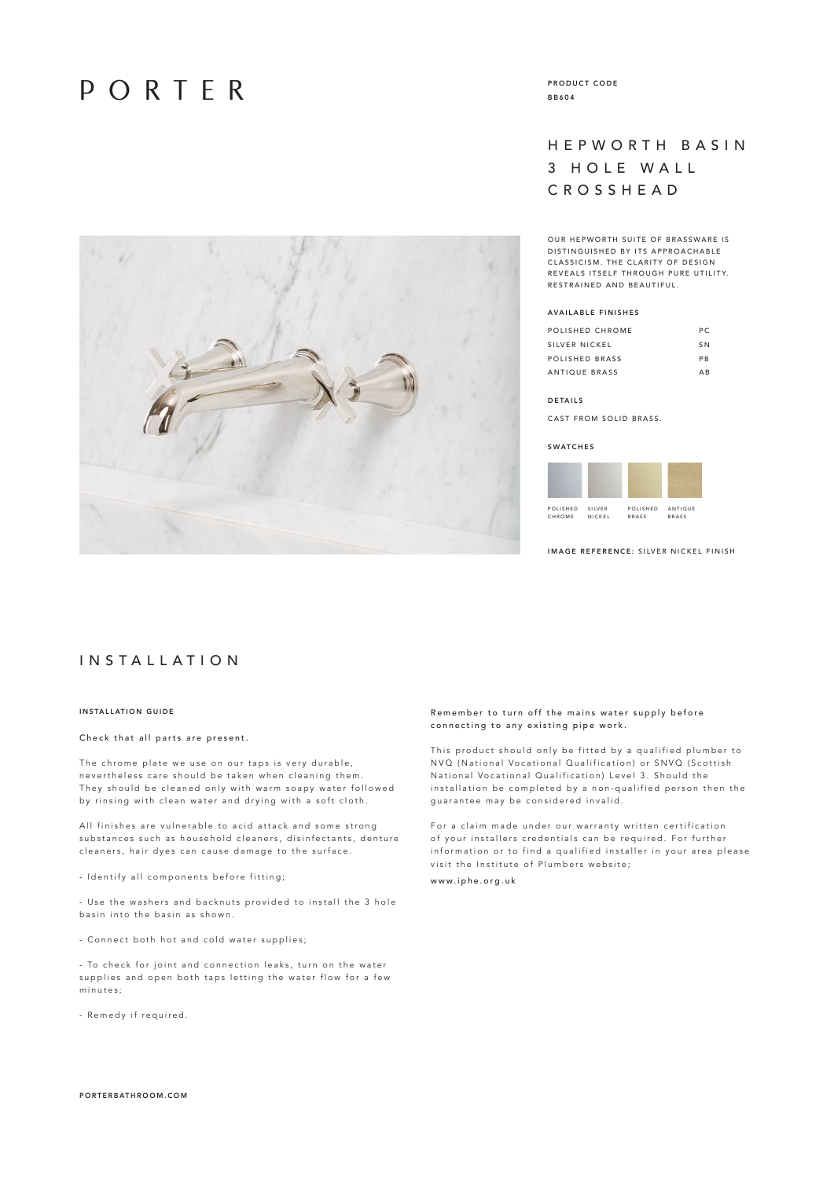## PORTER



PRODUCT CODE BB604

## HEPWORTH BASIN 3 HOLE WALL CROSSHEAD

OUR HEPWORTH SUITE OF BRASSWARE IS D ISTINGUISHED BY ITS APPROACHABLE CLASSICISM. THE CLARITY OF DESIGN R EVEALS ITSELE THROUGH PURE UTILITY RESTRAINED AND BEAUTIFUL.

## AVAILABLE FINISHES

| POLISHED CHROME | P C            |
|-----------------|----------------|
| SILVER NICKEL   | S <sub>N</sub> |
| POLISHED BRASS  | <b>PR</b>      |
| ANTIQUE BRASS   | ΔR             |

#### DETAILS

CAST FROM SOLID BRASS.

#### **SWATCHES**

| POLISHED | SILVER | POLISHED     | ANTIQUE      |
|----------|--------|--------------|--------------|
| CHROME   | NICKEL | <b>BRASS</b> | <b>BRASS</b> |

IMAGE REFERENCE: SILVER NICKEL FINISH

## I N S T A L L A T I O N

## INSTALLATION GUIDE

## Check that all parts are present.

The chrome plate we use on our taps is very durable, n evertheless care should be taken when cleaning them. They should be cleaned only with warm soapy water followed by rinsing with clean water and drying with a soft cloth.

All finishes are vulnerable to acid attack and some strong substances such as household cleaners, disinfectants, denture cleaners, hair dyes can cause damage to the surface.

- Identify all components before fitting;

- Use the washers and backnuts provided to install the 3 hole basin into the basin as shown.

- Connect both hot and cold water supplies;

- To check for joint and connection leaks, turn on the water supplies and open both taps letting the water flow for a few minutes;

- Remedy if required.

## Remember to turn off the mains water supply before connecting to any existing pipe work.

This product should only be fitted by a qualified plumber to N VQ (National Vocational Qualification) or SNVQ (Scottish National Vocational Qualification) Level 3. Should the installation be completed by a non-qualified person then the guarantee may be considered invalid.

For a claim made under our warranty written certification of your installers credentials can be required. For further information or to find a qualified installer in your area please visit the Institute of Plumbers website; www.iphe.org.uk